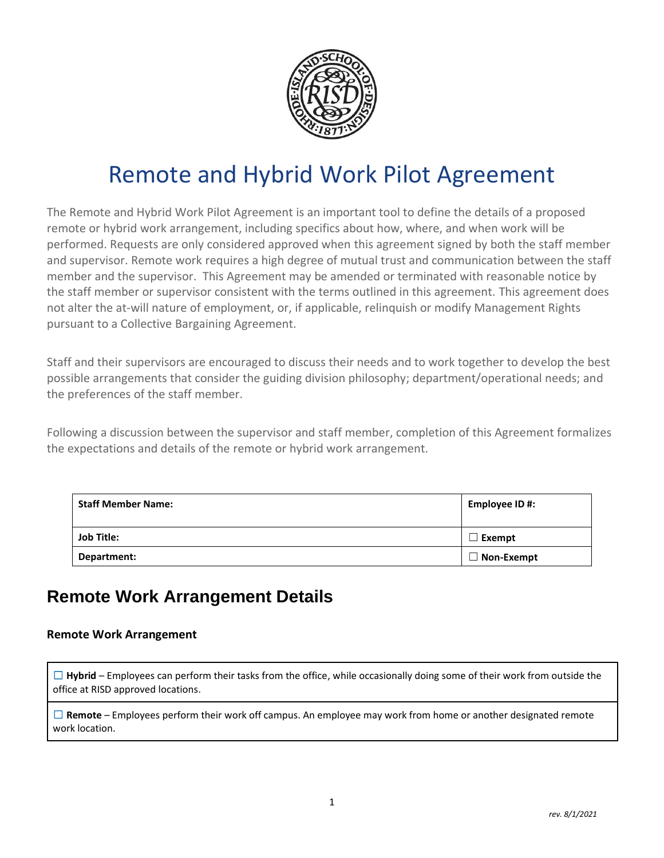

# Remote and Hybrid Work Pilot Agreement

The Remote and Hybrid Work Pilot Agreement is an important tool to define the details of a proposed remote or hybrid work arrangement, including specifics about how, where, and when work will be performed. Requests are only considered approved when this agreement signed by both the staff member and supervisor. Remote work requires a high degree of mutual trust and communication between the staff member and the supervisor. This Agreement may be amended or terminated with reasonable notice by the staff member or supervisor consistent with the terms outlined in this agreement. This agreement does not alter the at-will nature of employment, or, if applicable, relinquish or modify Management Rights pursuant to a Collective Bargaining Agreement.

Staff and their supervisors are encouraged to discuss their needs and to work together to develop the best possible arrangements that consider the guiding division philosophy; department/operational needs; and the preferences of the staff member.

Following a discussion between the supervisor and staff member, completion of this Agreement formalizes the expectations and details of the remote or hybrid work arrangement.

| <b>Staff Member Name:</b> | Employee ID #:    |
|---------------------------|-------------------|
| <b>Job Title:</b>         | Exempt            |
| Department:               | $\Box$ Non-Exempt |

### **Remote Work Arrangement Details**

#### **Remote Work Arrangement**

□ Hybrid – Employees can perform their tasks from the office, while occasionally doing some of their work from outside the office at RISD approved locations.

☐ **Remote** – Employees perform their work off campus. An employee may work from home or another designated remote work location.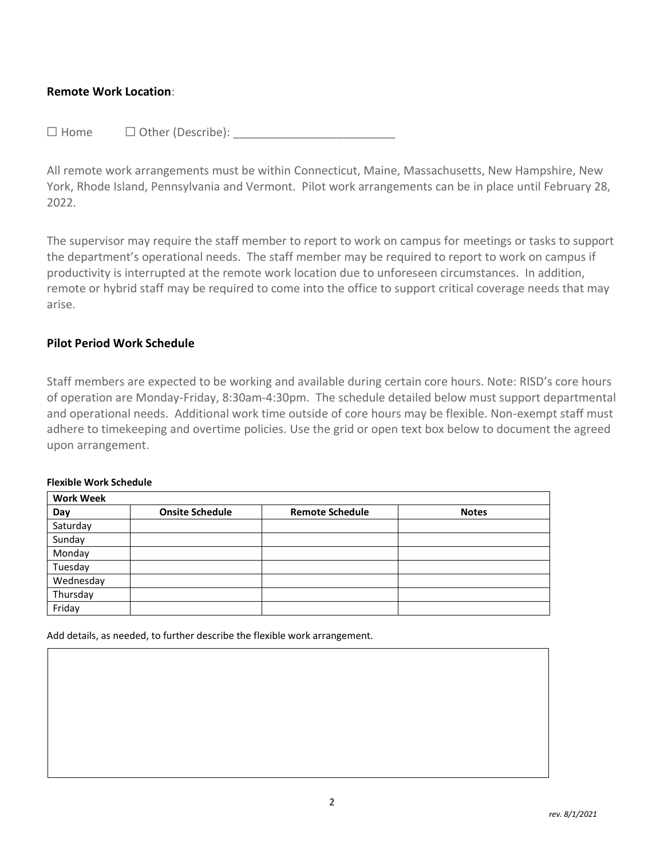#### **Remote Work Location**:

 $\Box$  Home  $\Box$  Other (Describe):

All remote work arrangements must be within Connecticut, Maine, Massachusetts, New Hampshire, New York, Rhode Island, Pennsylvania and Vermont. Pilot work arrangements can be in place until February 28, 2022.

The supervisor may require the staff member to report to work on campus for meetings or tasks to support the department's operational needs. The staff member may be required to report to work on campus if productivity is interrupted at the remote work location due to unforeseen circumstances. In addition, remote or hybrid staff may be required to come into the office to support critical coverage needs that may arise.

#### **Pilot Period Work Schedule**

Staff members are expected to be working and available during certain core hours. Note: RISD's core hours of operation are Monday-Friday, 8:30am-4:30pm. The schedule detailed below must support departmental and operational needs. Additional work time outside of core hours may be flexible. Non-exempt staff must adhere to timekeeping and overtime [policies.](https://policies.risd.edu/operations/exempt-and-non-exempt-pay-policy/) Use the grid or open text box below to document the agreed upon arrangement.

#### **Flexible Work Schedule**

| <b>Work Week</b> |                        |                        |              |  |
|------------------|------------------------|------------------------|--------------|--|
| Day              | <b>Onsite Schedule</b> | <b>Remote Schedule</b> | <b>Notes</b> |  |
| Saturday         |                        |                        |              |  |
| Sunday           |                        |                        |              |  |
| Monday           |                        |                        |              |  |
| Tuesday          |                        |                        |              |  |
| Wednesday        |                        |                        |              |  |
| Thursday         |                        |                        |              |  |
| Friday           |                        |                        |              |  |

Add details, as needed, to further describe the flexible work arrangement.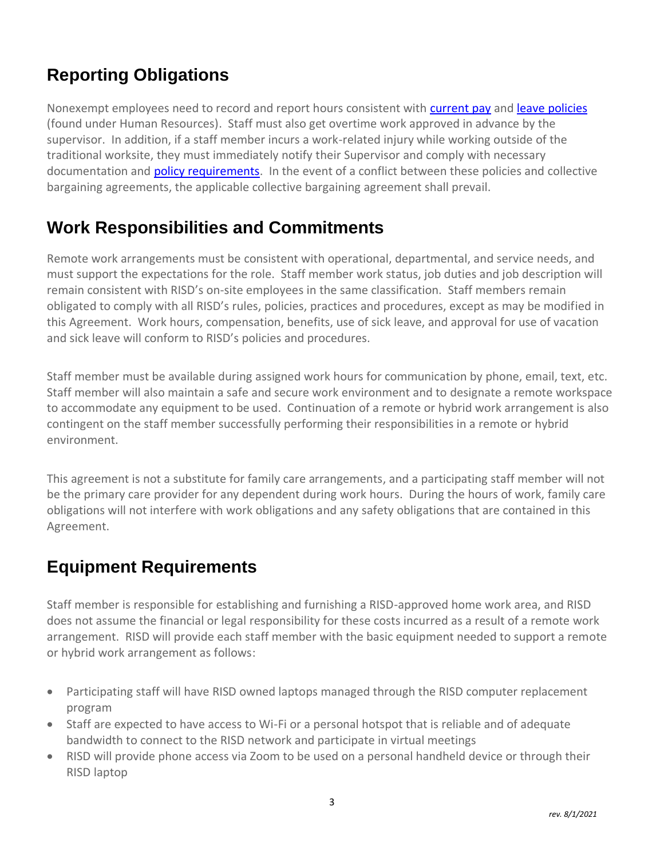# **Reporting Obligations**

Nonexempt employees need to record and report hours consistent with [current pay](https://policies.risd.edu/operations/exempt-and-non-exempt-pay-policy/) and [leave policies](https://policies.risd.edu/operations-policies/) (found under Human Resources). Staff must also get overtime work approved in advance by the supervisor. In addition, if a staff member incurs a work-related injury while working outside of the traditional worksite, they must immediately notify their Supervisor and comply with necessary documentation and **policy requirements**. In the event of a conflict between these policies and collective bargaining agreements, the applicable collective bargaining agreement shall prevail.

# **Work Responsibilities and Commitments**

Remote work arrangements must be consistent with operational, departmental, and service needs, and must support the expectations for the role. Staff member work status, job duties and job description will remain consistent with RISD's on-site employees in the same classification. Staff members remain obligated to comply with all RISD's rules, policies, practices and procedures, except as may be modified in this Agreement. Work hours, compensation, benefits, use of sick leave, and approval for use of vacation and sick leave will conform to RISD's policies and procedures.

Staff member must be available during assigned work hours for communication by phone, email, text, etc. Staff member will also maintain a safe and secure work environment and to designate a remote workspace to accommodate any equipment to be used. Continuation of a remote or hybrid work arrangement is also contingent on the staff member successfully performing their responsibilities in a remote or hybrid environment.

This agreement is not a substitute for family care arrangements, and a participating staff member will not be the primary care provider for any dependent during work hours. During the hours of work, family care obligations will not interfere with work obligations and any safety obligations that are contained in this Agreement.

# **Equipment Requirements**

Staff member is responsible for establishing and furnishing a RISD-approved home work area, and RISD does not assume the financial or legal responsibility for these costs incurred as a result of a remote work arrangement. RISD will provide each staff member with the basic equipment needed to support a remote or hybrid work arrangement as follows:

- Participating staff will have RISD owned laptops managed through the RISD computer replacement program
- Staff are expected to have access to Wi-Fi or a personal hotspot that is reliable and of adequate bandwidth to connect to the RISD network and participate in virtual meetings
- RISD will provide phone access via Zoom to be used on a personal handheld device or through their RISD laptop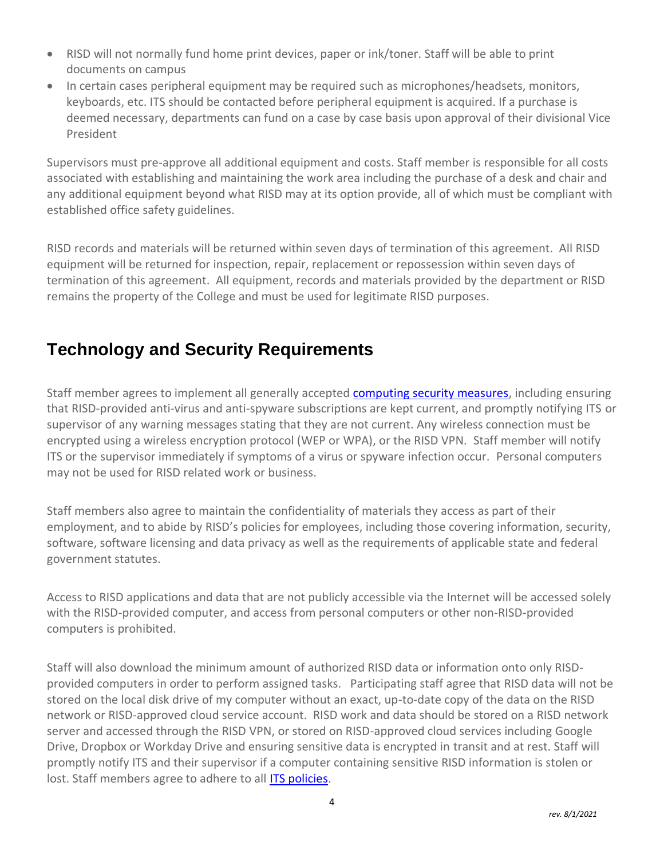- RISD will not normally fund home print devices, paper or ink/toner. Staff will be able to print documents on campus
- In certain cases peripheral equipment may be required such as microphones/headsets, monitors, keyboards, etc. ITS should be contacted before peripheral equipment is acquired. If a purchase is deemed necessary, departments can fund on a case by case basis upon approval of their divisional Vice President

Supervisors must pre-approve all additional equipment and costs. Staff member is responsible for all costs associated with establishing and maintaining the work area including the purchase of a desk and chair and any additional equipment beyond what RISD may at its option provide, all of which must be compliant with established office safety guidelines.

RISD records and materials will be returned within seven days of termination of this agreement. All RISD equipment will be returned for inspection, repair, replacement or repossession within seven days of termination of this agreement. All equipment, records and materials provided by the department or RISD remains the property of the College and must be used for legitimate RISD purposes.

# **Technology and Security Requirements**

Staff member agrees to implement all generally accepted **computing security measures**, including ensuring that RISD‐provided anti‐virus and anti‐spyware subscriptions are kept current, and promptly notifying ITS or supervisor of any warning messages stating that they are not current. Any wireless connection must be encrypted using a wireless encryption protocol (WEP or WPA), or the RISD VPN. Staff member will notify ITS or the supervisor immediately if symptoms of a virus or spyware infection occur. Personal computers may not be used for RISD related work or business.

Staff members also agree to maintain the confidentiality of materials they access as part of their employment, and to abide by RISD's policies for employees, including those covering information, security, software, software licensing and data privacy as well as the requirements of applicable state and federal government statutes.

Access to RISD applications and data that are not publicly accessible via the Internet will be accessed solely with the RISD-provided computer, and access from personal computers or other non-RISD-provided computers is prohibited.

Staff will also download the minimum amount of authorized RISD data or information onto only RISDprovided computers in order to perform assigned tasks. Participating staff agree that RISD data will not be stored on the local disk drive of my computer without an exact, up-to-date copy of the data on the RISD network or RISD-approved cloud service account. RISD work and data should be stored on a RISD network server and accessed through the RISD VPN, or stored on RISD-approved cloud services including Google Drive, Dropbox or Workday Drive and ensuring sensitive data is encrypted in transit and at rest. Staff will promptly notify ITS and their supervisor if a computer containing sensitive RISD information is stolen or lost. Staff members agree to adhere to all [ITS policies.](https://policies.risd.edu/operations-policies/#information-technology-(itservices))